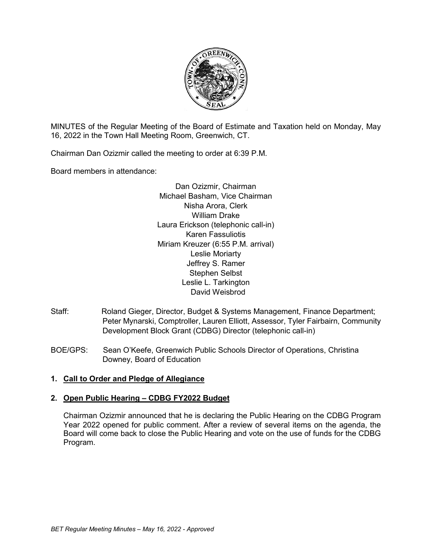

MINUTES of the Regular Meeting of the Board of Estimate and Taxation held on Monday, May 16, 2022 in the Town Hall Meeting Room, Greenwich, CT.

Chairman Dan Ozizmir called the meeting to order at 6:39 P.M.

Board members in attendance:

Dan Ozizmir, Chairman Michael Basham, Vice Chairman Nisha Arora, Clerk William Drake Laura Erickson (telephonic call-in) Karen Fassuliotis Miriam Kreuzer (6:55 P.M. arrival) Leslie Moriarty Jeffrey S. Ramer Stephen Selbst Leslie L. Tarkington David Weisbrod

- Staff: Roland Gieger, Director, Budget & Systems Management, Finance Department; Peter Mynarski, Comptroller, Lauren Elliott, Assessor, Tyler Fairbairn, Community Development Block Grant (CDBG) Director (telephonic call-in)
- BOE/GPS: Sean O'Keefe, Greenwich Public Schools Director of Operations, Christina Downey, Board of Education

### **1. Call to Order and Pledge of Allegiance**

### **2. Open Public Hearing – CDBG FY2022 Budget**

Chairman Ozizmir announced that he is declaring the Public Hearing on the CDBG Program Year 2022 opened for public comment. After a review of several items on the agenda, the Board will come back to close the Public Hearing and vote on the use of funds for the CDBG Program.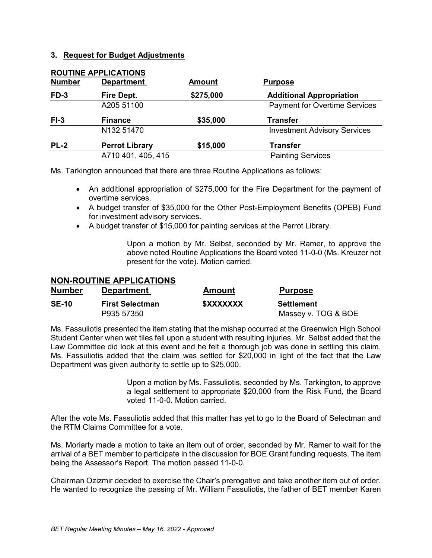#### **3. Request for Budget Adjustments**

| <b>Number</b> | <b>ROUTINE APPLICATIONS</b><br><b>Department</b> | <b>Amount</b> | <b>Purpose</b>                       |  |
|---------------|--------------------------------------------------|---------------|--------------------------------------|--|
| $FD-3$        | Fire Dept.                                       | \$275,000     | <b>Additional Appropriation</b>      |  |
|               | A205 51100                                       |               | <b>Payment for Overtime Services</b> |  |
| $FI-3$        | \$35,000<br><b>Finance</b>                       |               | <b>Transfer</b>                      |  |
|               | N132 51470                                       |               | <b>Investment Advisory Services</b>  |  |
| <b>PL-2</b>   | <b>Perrot Library</b>                            | \$15,000      | <b>Transfer</b>                      |  |
|               |                                                  |               |                                      |  |

Ms. Tarkington announced that there are three Routine Applications as follows:

- An additional appropriation of \$275,000 for the Fire Department for the payment of overtime services.
- A budget transfer of \$35,000 for the Other Post-Employment Benefits (OPEB) Fund for investment advisory services.
- A budget transfer of \$15,000 for painting services at the Perrot Library.

Upon a motion by Mr. Selbst, seconded by Mr. Ramer, to approve the above noted Routine Applications the Board voted 11-0-0 (Ms. Kreuzer not present for the vote). Motion carried.

### **NON-ROUTINE APPLICATIONS**

| <b>Number</b> | <b>Department</b>      | Amount                  | <b>Purpose</b>      |
|---------------|------------------------|-------------------------|---------------------|
| <b>SE-10</b>  | <b>First Selectman</b> | <b><i>\$XXXXXXX</i></b> | Settlement          |
|               | P935 57350             |                         | Massey v. TOG & BOE |

Ms. Fassuliotis presented the item stating that the mishap occurred at the Greenwich High School Student Center when wet tiles fell upon a student with resulting injuries. Mr. Selbst added that the Law Committee did look at this event and he felt a thorough job was done in settling this claim. Ms. Fassuliotis added that the claim was settled for \$20,000 in light of the fact that the Law Department was given authority to settle up to \$25,000.

> Upon a motion by Ms. Fassuliotis, seconded by Ms. Tarkington, to approve a legal settlement to appropriate \$20,000 from the Risk Fund, the Board voted 11-0-0. Motion carried.

After the vote Ms. Fassuliotis added that this matter has yet to go to the Board of Selectman and the RTM Claims Committee for a vote.

Ms. Moriarty made a motion to take an item out of order, seconded by Mr. Ramer to wait for the arrival of a BET member to participate in the discussion for BOE Grant funding requests. The item being the Assessor's Report. The motion passed 11-0-0.

Chairman Ozizmir decided to exercise the Chair's prerogative and take another item out of order. He wanted to recognize the passing of Mr. William Fassuliotis, the father of BET member Karen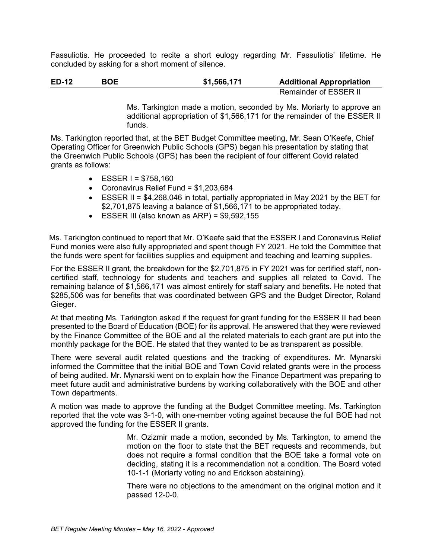Fassuliotis. He proceeded to recite a short eulogy regarding Mr. Fassuliotis' lifetime. He concluded by asking for a short moment of silence.

**ED-12 BOE \$1,566,171 Additional Appropriation** Remainder of ESSER II

> Ms. Tarkington made a motion, seconded by Ms. Moriarty to approve an additional appropriation of \$1,566,171 for the remainder of the ESSER II funds.

Ms. Tarkington reported that, at the BET Budget Committee meeting, Mr. Sean O'Keefe, Chief Operating Officer for Greenwich Public Schools (GPS) began his presentation by stating that the Greenwich Public Schools (GPS) has been the recipient of four different Covid related grants as follows:

- $ESSER = $758.160$
- Coronavirus Relief Fund = \$1,203,684
- ESSER II = \$4,268,046 in total, partially appropriated in May 2021 by the BET for \$2,701,875 leaving a balance of \$1,566,171 to be appropriated today.
- $\bullet$  ESSER III (also known as ARP) = \$9,592,155

 Ms. Tarkington continued to report that Mr. O'Keefe said that the ESSER I and Coronavirus Relief Fund monies were also fully appropriated and spent though FY 2021. He told the Committee that the funds were spent for facilities supplies and equipment and teaching and learning supplies.

For the ESSER II grant, the breakdown for the \$2,701,875 in FY 2021 was for certified staff, noncertified staff, technology for students and teachers and supplies all related to Covid. The remaining balance of \$1,566,171 was almost entirely for staff salary and benefits. He noted that \$285,506 was for benefits that was coordinated between GPS and the Budget Director, Roland Gieger.

At that meeting Ms. Tarkington asked if the request for grant funding for the ESSER II had been presented to the Board of Education (BOE) for its approval. He answered that they were reviewed by the Finance Committee of the BOE and all the related materials to each grant are put into the monthly package for the BOE. He stated that they wanted to be as transparent as possible.

There were several audit related questions and the tracking of expenditures. Mr. Mynarski informed the Committee that the initial BOE and Town Covid related grants were in the process of being audited. Mr. Mynarski went on to explain how the Finance Department was preparing to meet future audit and administrative burdens by working collaboratively with the BOE and other Town departments.

A motion was made to approve the funding at the Budget Committee meeting. Ms. Tarkington reported that the vote was 3-1-0, with one-member voting against because the full BOE had not approved the funding for the ESSER II grants.

> Mr. Ozizmir made a motion, seconded by Ms. Tarkington, to amend the motion on the floor to state that the BET requests and recommends, but does not require a formal condition that the BOE take a formal vote on deciding, stating it is a recommendation not a condition. The Board voted 10-1-1 (Moriarty voting no and Erickson abstaining).

> There were no objections to the amendment on the original motion and it passed 12-0-0.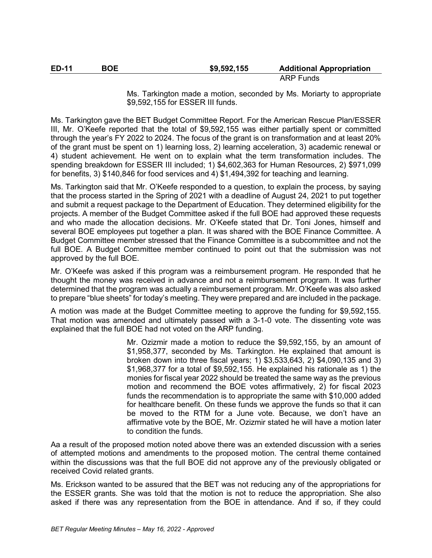| <b>ED-11</b> | BOE | \$9,592,155 | <b>Additional Appropriation</b> |
|--------------|-----|-------------|---------------------------------|
|              |     |             | $ADD$ $E$                       |

ARP Funds

Ms. Tarkington made a motion, seconded by Ms. Moriarty to appropriate \$9,592,155 for ESSER III funds.

Ms. Tarkington gave the BET Budget Committee Report. For the American Rescue Plan/ESSER III, Mr. O'Keefe reported that the total of \$9,592,155 was either partially spent or committed through the year's FY 2022 to 2024. The focus of the grant is on transformation and at least 20% of the grant must be spent on 1) learning loss, 2) learning acceleration, 3) academic renewal or 4) student achievement. He went on to explain what the term transformation includes. The spending breakdown for ESSER III included; 1) \$4,602,363 for Human Resources, 2) \$971,099 for benefits, 3) \$140,846 for food services and 4) \$1,494,392 for teaching and learning.

Ms. Tarkington said that Mr. O'Keefe responded to a question, to explain the process, by saying that the process started in the Spring of 2021 with a deadline of August 24, 2021 to put together and submit a request package to the Department of Education. They determined eligibility for the projects. A member of the Budget Committee asked if the full BOE had approved these requests and who made the allocation decisions. Mr. O'Keefe stated that Dr. Toni Jones, himself and several BOE employees put together a plan. It was shared with the BOE Finance Committee. A Budget Committee member stressed that the Finance Committee is a subcommittee and not the full BOE. A Budget Committee member continued to point out that the submission was not approved by the full BOE.

Mr. O'Keefe was asked if this program was a reimbursement program. He responded that he thought the money was received in advance and not a reimbursement program. It was further determined that the program was actually a reimbursement program. Mr. O'Keefe was also asked to prepare "blue sheets" for today's meeting. They were prepared and are included in the package.

A motion was made at the Budget Committee meeting to approve the funding for \$9,592,155. That motion was amended and ultimately passed with a 3-1-0 vote. The dissenting vote was explained that the full BOE had not voted on the ARP funding.

> Mr. Ozizmir made a motion to reduce the \$9,592,155, by an amount of \$1,958,377, seconded by Ms. Tarkington. He explained that amount is broken down into three fiscal years; 1) \$3,533,643, 2) \$4,090,135 and 3) \$1,968,377 for a total of \$9,592,155. He explained his rationale as 1) the monies for fiscal year 2022 should be treated the same way as the previous motion and recommend the BOE votes affirmatively, 2) for fiscal 2023 funds the recommendation is to appropriate the same with \$10,000 added for healthcare benefit. On these funds we approve the funds so that it can be moved to the RTM for a June vote. Because, we don't have an affirmative vote by the BOE, Mr. Ozizmir stated he will have a motion later to condition the funds.

Aa a result of the proposed motion noted above there was an extended discussion with a series of attempted motions and amendments to the proposed motion. The central theme contained within the discussions was that the full BOE did not approve any of the previously obligated or received Covid related grants.

Ms. Erickson wanted to be assured that the BET was not reducing any of the appropriations for the ESSER grants. She was told that the motion is not to reduce the appropriation. She also asked if there was any representation from the BOE in attendance. And if so, if they could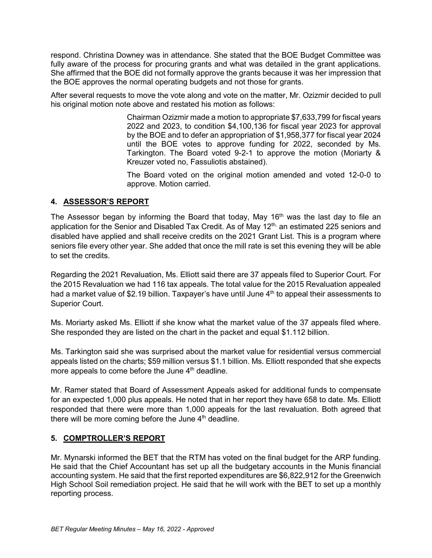respond. Christina Downey was in attendance. She stated that the BOE Budget Committee was fully aware of the process for procuring grants and what was detailed in the grant applications. She affirmed that the BOE did not formally approve the grants because it was her impression that the BOE approves the normal operating budgets and not those for grants.

After several requests to move the vote along and vote on the matter, Mr. Ozizmir decided to pull his original motion note above and restated his motion as follows:

> Chairman Ozizmir made a motion to appropriate \$7,633,799 for fiscal years 2022 and 2023, to condition \$4,100,136 for fiscal year 2023 for approval by the BOE and to defer an appropriation of \$1,958,377 for fiscal year 2024 until the BOE votes to approve funding for 2022, seconded by Ms. Tarkington. The Board voted 9-2-1 to approve the motion (Moriarty & Kreuzer voted no, Fassuliotis abstained).

> The Board voted on the original motion amended and voted 12-0-0 to approve. Motion carried.

## **4. ASSESSOR'S REPORT**

The Assessor began by informing the Board that today, May 16<sup>th</sup> was the last day to file an application for the Senior and Disabled Tax Credit. As of May 12<sup>th,</sup> an estimated 225 seniors and disabled have applied and shall receive credits on the 2021 Grant List. This is a program where seniors file every other year. She added that once the mill rate is set this evening they will be able to set the credits.

Regarding the 2021 Revaluation, Ms. Elliott said there are 37 appeals filed to Superior Court. For the 2015 Revaluation we had 116 tax appeals. The total value for the 2015 Revaluation appealed had a market value of \$2.19 billion. Taxpayer's have until June  $4<sup>th</sup>$  to appeal their assessments to Superior Court.

Ms. Moriarty asked Ms. Elliott if she know what the market value of the 37 appeals filed where. She responded they are listed on the chart in the packet and equal \$1.112 billion.

Ms. Tarkington said she was surprised about the market value for residential versus commercial appeals listed on the charts; \$59 million versus \$1.1 billion. Ms. Elliott responded that she expects more appeals to come before the June  $4<sup>th</sup>$  deadline.

Mr. Ramer stated that Board of Assessment Appeals asked for additional funds to compensate for an expected 1,000 plus appeals. He noted that in her report they have 658 to date. Ms. Elliott responded that there were more than 1,000 appeals for the last revaluation. Both agreed that there will be more coming before the June  $4<sup>th</sup>$  deadline.

# **5. COMPTROLLER'S REPORT**

Mr. Mynarski informed the BET that the RTM has voted on the final budget for the ARP funding. He said that the Chief Accountant has set up all the budgetary accounts in the Munis financial accounting system. He said that the first reported expenditures are \$6,822,912 for the Greenwich High School Soil remediation project. He said that he will work with the BET to set up a monthly reporting process.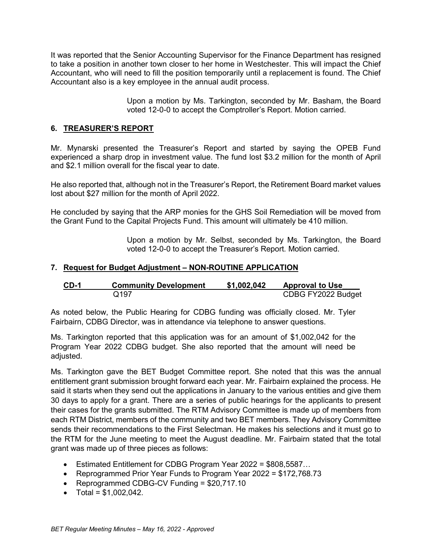It was reported that the Senior Accounting Supervisor for the Finance Department has resigned to take a position in another town closer to her home in Westchester. This will impact the Chief Accountant, who will need to fill the position temporarily until a replacement is found. The Chief Accountant also is a key employee in the annual audit process.

> Upon a motion by Ms. Tarkington, seconded by Mr. Basham, the Board voted 12-0-0 to accept the Comptroller's Report. Motion carried.

### **6. TREASURER'S REPORT**

Mr. Mynarski presented the Treasurer's Report and started by saying the OPEB Fund experienced a sharp drop in investment value. The fund lost \$3.2 million for the month of April and \$2.1 million overall for the fiscal year to date.

He also reported that, although not in the Treasurer's Report, the Retirement Board market values lost about \$27 million for the month of April 2022.

He concluded by saying that the ARP monies for the GHS Soil Remediation will be moved from the Grant Fund to the Capital Projects Fund. This amount will ultimately be 410 million.

> Upon a motion by Mr. Selbst, seconded by Ms. Tarkington, the Board voted 12-0-0 to accept the Treasurer's Report. Motion carried.

#### **7. Request for Budget Adjustment – NON-ROUTINE APPLICATION**

| CD-1 | <b>Community Development</b> | \$1,002,042 | <b>Approval to Use</b> |
|------|------------------------------|-------------|------------------------|
|      | Q197                         |             | CDBG FY2022 Budget     |

As noted below, the Public Hearing for CDBG funding was officially closed. Mr. Tyler Fairbairn, CDBG Director, was in attendance via telephone to answer questions.

Ms. Tarkington reported that this application was for an amount of \$1,002,042 for the Program Year 2022 CDBG budget. She also reported that the amount will need be adjusted.

Ms. Tarkington gave the BET Budget Committee report. She noted that this was the annual entitlement grant submission brought forward each year. Mr. Fairbairn explained the process. He said it starts when they send out the applications in January to the various entities and give them 30 days to apply for a grant. There are a series of public hearings for the applicants to present their cases for the grants submitted. The RTM Advisory Committee is made up of members from each RTM District, members of the community and two BET members. They Advisory Committee sends their recommendations to the First Selectman. He makes his selections and it must go to the RTM for the June meeting to meet the August deadline. Mr. Fairbairn stated that the total grant was made up of three pieces as follows:

- Estimated Entitlement for CDBG Program Year 2022 = \$808,5587…
- Reprogrammed Prior Year Funds to Program Year 2022 = \$172,768.73
- Reprogrammed CDBG-CV Funding = \$20,717.10
- Total =  $$1,002,042$ .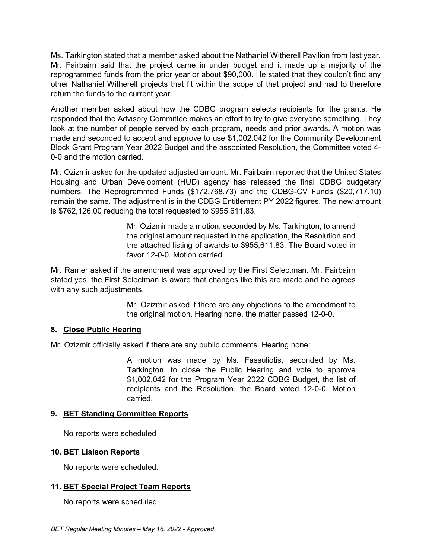Ms. Tarkington stated that a member asked about the Nathaniel Witherell Pavilion from last year. Mr. Fairbairn said that the project came in under budget and it made up a majority of the reprogrammed funds from the prior year or about \$90,000. He stated that they couldn't find any other Nathaniel Witherell projects that fit within the scope of that project and had to therefore return the funds to the current year.

Another member asked about how the CDBG program selects recipients for the grants. He responded that the Advisory Committee makes an effort to try to give everyone something. They look at the number of people served by each program, needs and prior awards. A motion was made and seconded to accept and approve to use \$1,002,042 for the Community Development Block Grant Program Year 2022 Budget and the associated Resolution, the Committee voted 4- 0-0 and the motion carried.

Mr. Ozizmir asked for the updated adjusted amount. Mr. Fairbairn reported that the United States Housing and Urban Development (HUD) agency has released the final CDBG budgetary numbers. The Reprogrammed Funds (\$172,768.73) and the CDBG-CV Funds (\$20,717.10) remain the same. The adjustment is in the CDBG Entitlement PY 2022 figures. The new amount is \$762,126.00 reducing the total requested to \$955,611.83.

> Mr. Ozizmir made a motion, seconded by Ms. Tarkington, to amend the original amount requested in the application, the Resolution and the attached listing of awards to \$955,611.83. The Board voted in favor 12-0-0. Motion carried

Mr. Ramer asked if the amendment was approved by the First Selectman. Mr. Fairbairn stated yes, the First Selectman is aware that changes like this are made and he agrees with any such adjustments.

> Mr. Ozizmir asked if there are any objections to the amendment to the original motion. Hearing none, the matter passed 12-0-0.

### **8. Close Public Hearing**

Mr. Ozizmir officially asked if there are any public comments. Hearing none:

A motion was made by Ms. Fassuliotis, seconded by Ms. Tarkington, to close the Public Hearing and vote to approve \$1,002,042 for the Program Year 2022 CDBG Budget, the list of recipients and the Resolution. the Board voted 12-0-0. Motion carried.

### **9. BET Standing Committee Reports**

No reports were scheduled

### **10. BET Liaison Reports**

No reports were scheduled.

### **11. BET Special Project Team Reports**

No reports were scheduled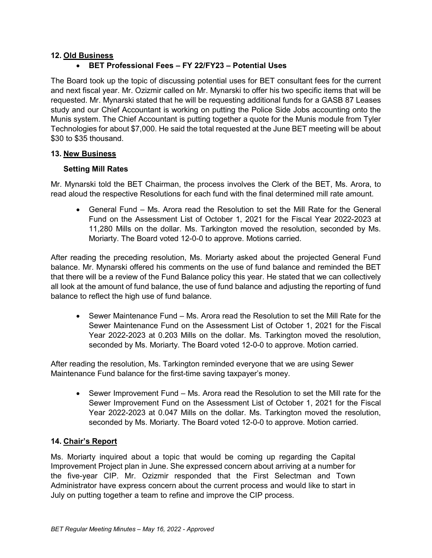## **12. Old Business**

# • **BET Professional Fees – FY 22/FY23 – Potential Uses**

The Board took up the topic of discussing potential uses for BET consultant fees for the current and next fiscal year. Mr. Ozizmir called on Mr. Mynarski to offer his two specific items that will be requested. Mr. Mynarski stated that he will be requesting additional funds for a GASB 87 Leases study and our Chief Accountant is working on putting the Police Side Jobs accounting onto the Munis system. The Chief Accountant is putting together a quote for the Munis module from Tyler Technologies for about \$7,000. He said the total requested at the June BET meeting will be about \$30 to \$35 thousand.

### **13. New Business**

### **Setting Mill Rates**

Mr. Mynarski told the BET Chairman, the process involves the Clerk of the BET, Ms. Arora, to read aloud the respective Resolutions for each fund with the final determined mill rate amount.

• General Fund – Ms. Arora read the Resolution to set the Mill Rate for the General Fund on the Assessment List of October 1, 2021 for the Fiscal Year 2022-2023 at 11,280 Mills on the dollar. Ms. Tarkington moved the resolution, seconded by Ms. Moriarty. The Board voted 12-0-0 to approve. Motions carried.

After reading the preceding resolution, Ms. Moriarty asked about the projected General Fund balance. Mr. Mynarski offered his comments on the use of fund balance and reminded the BET that there will be a review of the Fund Balance policy this year. He stated that we can collectively all look at the amount of fund balance, the use of fund balance and adjusting the reporting of fund balance to reflect the high use of fund balance.

• Sewer Maintenance Fund – Ms. Arora read the Resolution to set the Mill Rate for the Sewer Maintenance Fund on the Assessment List of October 1, 2021 for the Fiscal Year 2022-2023 at 0.203 Mills on the dollar. Ms. Tarkington moved the resolution, seconded by Ms. Moriarty. The Board voted 12-0-0 to approve. Motion carried.

After reading the resolution, Ms. Tarkington reminded everyone that we are using Sewer Maintenance Fund balance for the first-time saving taxpayer's money.

• Sewer Improvement Fund – Ms. Arora read the Resolution to set the Mill rate for the Sewer Improvement Fund on the Assessment List of October 1, 2021 for the Fiscal Year 2022-2023 at 0.047 Mills on the dollar. Ms. Tarkington moved the resolution, seconded by Ms. Moriarty. The Board voted 12-0-0 to approve. Motion carried.

### **14. Chair's Report**

Ms. Moriarty inquired about a topic that would be coming up regarding the Capital Improvement Project plan in June. She expressed concern about arriving at a number for the five-year CIP. Mr. Ozizmir responded that the First Selectman and Town Administrator have express concern about the current process and would like to start in July on putting together a team to refine and improve the CIP process.